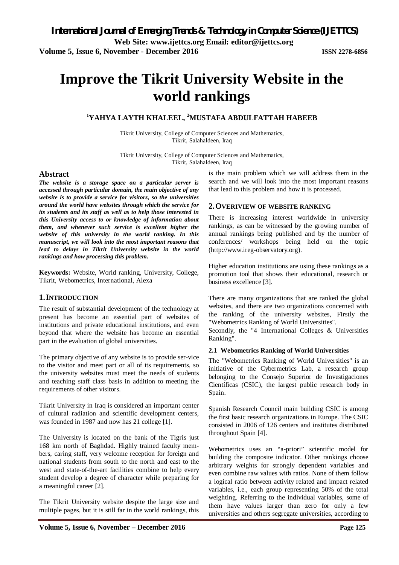**Volume 5, Issue 6, November - December 2016 ISSN 2278-6856**

# **Improve the Tikrit University Website in the world rankings**

### **<sup>1</sup>YAHYA LAYTH KHALEEL, <sup>2</sup>MUSTAFA ABDULFATTAH HABEEB**

Tikrit University, College of Computer Sciences and Mathematics, Tikrit, Salahaldeen, Iraq

Tikrit University, College of Computer Sciences and Mathematics, Tikrit, Salahaldeen, Iraq

#### **Abstract**

*The website is a storage space on a particular server is accessed through particular domain, the main objective of any website is to provide a service for visitors, so the universities around the world have websites through which the service for its students and its staff as well as to help those interested in this University access to or knowledge of information about them, and whenever such service is excellent higher the website of this university in the world ranking. In this manuscript, we will look into the most important reasons that lead to delays in Tikrit University website in the world rankings and how processing this problem.*

**Keywords:** Website, World ranking, University, College, Tikrit, Webometrics, International, Alexa

#### **1.INTRODUCTION**

The result of substantial development of the technology at present has become an essential part of websites of institutions and private educational institutions, and even beyond that where the website has become an essential part in the evaluation of global universities.

The primary objective of any website is to provide ser-vice to the visitor and meet part or all of its requirements, so the university websites must meet the needs of students and teaching staff class basis in addition to meeting the requirements of other visitors.

Tikrit University in Iraq is considered an important center of cultural radiation and scientific development centers, was founded in 1987 and now has 21 college [1].

The University is located on the bank of the Tigris just 168 km north of Baghdad. Highly trained faculty members, caring staff, very welcome reception for foreign and national students from south to the north and east to the west and state-of-the-art facilities combine to help every student develop a degree of character while preparing for a meaningful career [2].

The Tikrit University website despite the large size and multiple pages, but it is still far in the world rankings, this is the main problem which we will address them in the search and we will look into the most important reasons that lead to this problem and how it is processed.

#### **2.OVERIVIEW OF WEBSITE RANKING**

There is increasing interest worldwide in university rankings, as can be witnessed by the growing number of annual rankings being published and by the number of conferences/ workshops being held on the topic (http://www.ireg-observatory.org).

Higher education institutions are using these rankings as a promotion tool that shows their educational, research or business excellence [3].

There are many organizations that are ranked the global websites, and there are two organizations concerned with the ranking of the university websites, Firstly the "Webometrics Ranking of World Universities".

Secondly, the "4 International Colleges & Universities Ranking".

#### **2.1 Webometrics Ranking of World Universities**

The "Webometrics Ranking of World Universities" is an initiative of the Cybermetrics Lab, a research group belonging to the Consejo Superior de Investigaciones Científicas (CSIC), the largest public research body in Spain.

Spanish Research Council main building CSIC is among the first basic research organizations in Europe. The CSIC consisted in 2006 of 126 centers and institutes distributed throughout Spain [4].

Webometrics uses an "a-priori" scientific model for building the composite indicator. Other rankings choose arbitrary weights for strongly dependent variables and even combine raw values with ratios. None of them follow a logical ratio between activity related and impact related variables, i.e., each group representing 50% of the total weighting. Referring to the individual variables, some of them have values larger than zero for only a few universities and others segregate universities, according to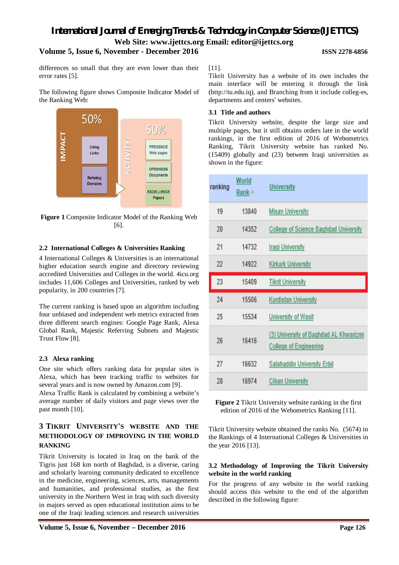## *International Journal of Emerging Trends & Technology in Computer Science (IJETTCS)* **Web Site: www.ijettcs.org Email: editor@ijettcs.org**

#### **Volume 5, Issue 6, November - December 2016 ISSN 2278-6856**

differences so small that they are even lower than their error rates [5].

The following figure shows Composite Indicator Model of the Ranking Web:



**Figure 1** Composite Indicator Model of the Ranking Web [6].

#### **2.2 International Colleges & Universities Ranking**

4 International Colleges & Universities is an international higher education search engine and directory reviewing accredited Universities and Colleges in the world. 4icu.org includes 11,606 Colleges and Universities, ranked by web popularity, in 200 countries [7].

The current ranking is based upon an algorithm including four unbiased and independent web metrics extracted from three different search engines: Google Page Rank, Alexa Global Rank, Majestic Referring Subnets and Majestic Trust Flow [8].

#### **2.3 Alexa ranking**

One site which offers ranking data for popular sites is Alexa, which has been tracking traffic to websites for several years and is now owned by Amazon.com [9].

Alexa Traffic Rank is calculated by combining a website's average number of daily visitors and page views over the past month [10].

### **3 TIKRIT UNIVERSITY'S WEBSITE AND THE METHODOLOGY OF IMPROVING IN THE WORLD RANKING**

Tikrit University is located in Iraq on the bank of the Tigris just 168 km north of Baghdad, is a diverse, caring and scholarly learning community dedicated to excellence in the medicine, engineering, sciences, arts, managements and humanities, and professional studies, as the first university in the Northern West in Iraq with such diversity in majors served as open educational institution aims to be one of the Iraqi leading sciences and research universities [11].

Tikrit University has a website of its own includes the main interface will be entering it through the link (http://tu.edu.iq), and Branching from it include colleg-es, departments and centers' websites.

#### **3.1 Title and authors**

Tikrit University website, despite the large size and multiple pages, but it still obtains orders late in the world rankings, in the first edition of 2016 of Webometrics Ranking, Tikrit University website has ranked No. (15409) globally and (23) between Iraqi universities as shown in the figure:

| ranking | World<br>Rank <sup>*</sup> | <b>University</b>                                                       |
|---------|----------------------------|-------------------------------------------------------------------------|
| 19      | 13840                      | <b>Misan University</b>                                                 |
| 20      | 14352                      | <b>College of Science Baghdad University</b>                            |
| 21      | 14732                      | <b>Iraqi University</b>                                                 |
| 22      | 14922                      | <b>Kirkurk University</b>                                               |
| 23      | 15409                      | <b>Tikrit University</b>                                                |
| 24      | 15506                      | <b>Kurdistan University</b>                                             |
| 25      | 15534                      | <b>University of Wasit</b>                                              |
| 26      | 16416                      | (3) University of Baghdad AL Khwarizmi<br><b>College of Engineering</b> |
| 27      | 16632                      | <b>Salahaddin University Erbil</b>                                      |
| 28      | 16974                      | <b>Cihan University</b>                                                 |

**Figure 2** Tikrit University website ranking in the first edition of 2016 of the Webometrics Ranking [11].

Tikrit University website obtained the ranks No. (5674) in the Rankings of 4 International Colleges & Universities in the year 2016 [13].

#### **3.2 Methodology of Improving the Tikrit University website in the world ranking**

For the progress of any website in the world ranking should access this website to the end of the algorithm described in the following figure: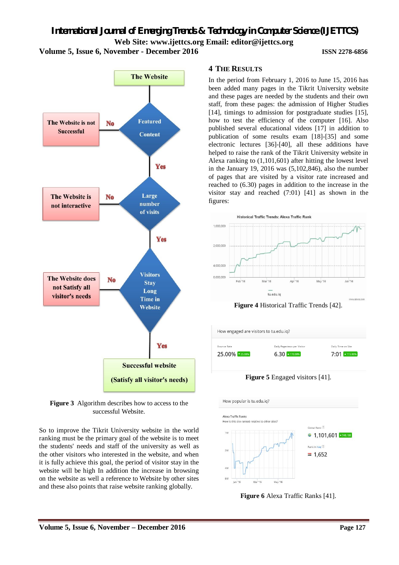*International Journal of Emerging Trends & Technology in Computer Science (IJETTCS)* **Web Site: www.ijettcs.org Email: editor@ijettcs.org Volume 5, Issue 6, November - December 2016 ISSN 2278-6856**



**Figure 3** Algorithm describes how to access to the successful Website.

So to improve the Tikrit University website in the world ranking must be the primary goal of the website is to meet the students' needs and staff of the university as well as the other visitors who interested in the website, and when it is fully achieve this goal, the period of visitor stay in the website will be high In addition the increase in browsing on the website as well a reference to Website by other sites and these also points that raise website ranking globally.

#### **4 THE RESULTS**

In the period from February 1, 2016 to June 15, 2016 has been added many pages in the Tikrit University website and these pages are needed by the students and their own staff, from these pages: the admission of Higher Studies [14], timings to admission for postgraduate studies [15], how to test the efficiency of the computer [16]. Also published several educational videos [17] in addition to publication of some results exam [18]-[35] and some electronic lectures [36]-[40], all these additions have helped to raise the rank of the Tikrit University website in Alexa ranking to (1,101,601) after hitting the lowest level in the January 19, 2016 was (5,102,846), also the number of pages that are visited by a visitor rate increased and reached to (6.30) pages in addition to the increase in the visitor stay and reached (7:01) [41] as shown in the figures:



**Figure 4** Historical Traffic Trends [42].

How engaged are visitors to tu.edu.iq?

Rounce Rate



**Figure 6** Alexa Traffic Ranks [41].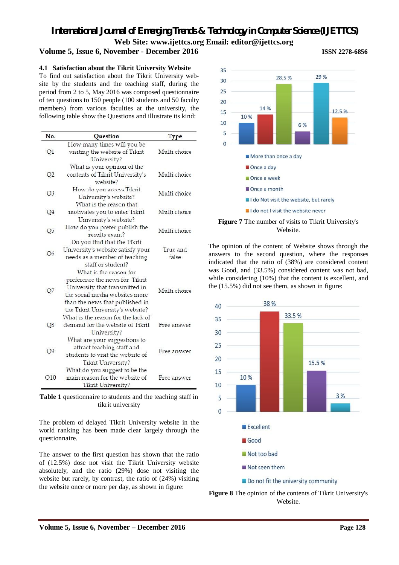### **Volume 5, Issue 6, November - December 2016 ISSN 2278-6856**

#### **4.1 Satisfaction about the Tikrit University Website**

To find out satisfaction about the Tikrit University website by the students and the teaching staff, during the period from 2 to 5, May 2016 was composed questionnaire of ten questions to 150 people (100 students and 50 faculty members) from various faculties at the university, the following table show the Questions and illustrate its kind:

| No.            | Question                                                                                                                                                                                            | <b>Type</b>       |
|----------------|-----------------------------------------------------------------------------------------------------------------------------------------------------------------------------------------------------|-------------------|
| Q1             | How many times will you be<br>visiting the website of Tikrit<br>University?                                                                                                                         | Multi choice      |
| Q2             | What is your opinion of the<br>contents of Tikrit University's<br>website?                                                                                                                          | Multi choice      |
| Q3             | How do you access Tikrit<br>University's website?                                                                                                                                                   | Multi choice      |
| Q <sub>4</sub> | What is the reason that<br>motivates you to enter Tikrit<br>University's website?                                                                                                                   | Multi choice      |
| Q5             | How do you prefer publish the<br>results exam?                                                                                                                                                      | Multi choice      |
| Q <sub>6</sub> | Do you find that the Tikrit<br>University's website satisfy your<br>needs as a member of teaching<br>staff or student?                                                                              | True and<br>false |
| Q7             | What is the reason for<br>preference the news for Tikrit<br>University that transmitted in<br>the social media websites more<br>than the news that published in<br>the Tikrit University's website? | Multi choice      |
| Q8             | What is the reason for the lack of<br>demand for the website of Tikrit<br>University?                                                                                                               | Free answer       |
| Q9             | What are your suggestions to<br>attract teaching staff and<br>students to visit the website of<br>Tikrit University?                                                                                | Free answer       |
| Q10            | What do you suggest to be the<br>main reason for the website of<br>Tikrit University?                                                                                                               | Free answer       |

**Table 1** questionnaire to students and the teaching staff in tikrit university

The problem of delayed Tikrit University website in the world ranking has been made clear largely through the questionnaire.

The answer to the first question has shown that the ratio of (12.5%) dose not visit the Tikrit University website absolutely, and the ratio (29%) dose not visiting the website but rarely, by contrast, the ratio of (24%) visiting the website once or more per day, as shown in figure:





The opinion of the content of Website shows through the answers to the second question, where the responses indicated that the ratio of (38%) are considered content was Good, and (33.5%) considered content was not bad, while considering (10%) that the content is excellent, and the (15.5%) did not see them, as shown in figure:



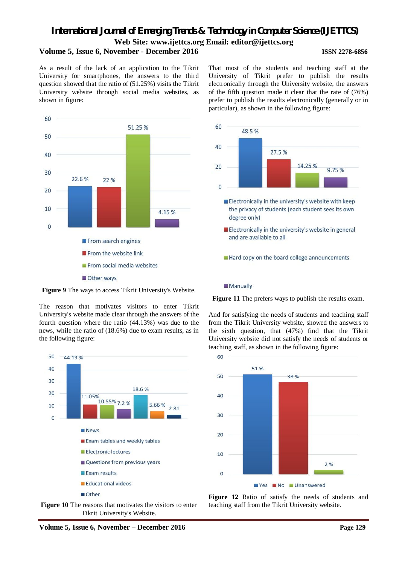### *International Journal of Emerging Trends & Technology in Computer Science (IJETTCS)* **Web Site: www.ijettcs.org Email: editor@ijettcs.org Volume 5, Issue 6, November - December 2016 ISSN 2278-6856**

As a result of the lack of an application to the Tikrit University for smartphones, the answers to the third question showed that the ratio of (51.25%) visits the Tikrit University website through social media websites, as shown in figure:



That most of the students and teaching staff at the University of Tikrit prefer to publish the results electronically through the University website, the answers of the fifth question made it clear that the rate of (76%) prefer to publish the results electronically (generally or in particular), as shown in the following figure:



**Figure 9** The ways to access Tikrit University's Website.

The reason that motivates visitors to enter Tikrit University's website made clear through the answers of the fourth question where the ratio (44.13%) was due to the news, while the ratio of (18.6%) due to exam results, as in the following figure:





**Figure 12** Ratio of satisfy the needs of students and teaching staff from the Tikrit University website.

**Figure 11** The prefers ways to publish the results exam.

And for satisfying the needs of students and teaching staff from the Tikrit University website, showed the answers to the sixth question, that (47%) find that the Tikrit University website did not satisfy the needs of students or teaching staff, as shown in the following figure:

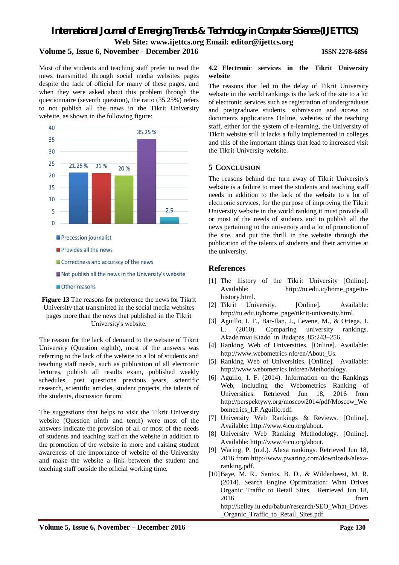### *International Journal of Emerging Trends & Technology in Computer Science (IJETTCS)* **Web Site: www.ijettcs.org Email: editor@ijettcs.org Volume 5, Issue 6, November - December 2016 ISSN 2278-6856**

Most of the students and teaching staff prefer to read the news transmitted through social media websites pages despite the lack of official for many of these pages, and when they were asked about this problem through the questionnaire (seventh question), the ratio (35.25%) refers to not publish all the news in the Tikrit University website, as shown in the following figure:



**Figure 13** The reasons for preference the news for Tikrit University that transmitted in the social media websites pages more than the news that published in the Tikrit University's website.

The reason for the lack of demand to the website of Tikrit University (Question eighth), most of the answers was referring to the lack of the website to a lot of students and teaching staff needs, such as publication of all electronic lectures, publish all results exam, published weekly schedules, post questions previous years, scientific research, scientific articles, student projects, the talents of the students, discussion forum.

The suggestions that helps to visit the Tikrit University website (Question ninth and tenth) were most of the answers indicate the provision of all or most of the needs of students and teaching staff on the website in addition to the promotion of the website in more and raising student awareness of the importance of website of the University and make the website a link between the student and teaching staff outside the official working time.

#### **4.2 Electronic services in the Tikrit University website**

The reasons that led to the delay of Tikrit University website in the world rankings is the lack of the site to a lot of electronic services such as registration of undergraduate and postgraduate students, submission and access to documents applications Online, websites of the teaching staff, either for the system of e-learning, the University of Tikrit website still it lacks a fully implemented in colleges and this of the important things that lead to increased visit the Tikrit University website.

#### **5 CONCLUSION**

The reasons behind the turn away of Tikrit University's website is a failure to meet the students and teaching staff needs in addition to the lack of the website to a lot of electronic services, for the purpose of improving the Tikrit University website in the world ranking it must provide all or most of the needs of students and to publish all the news pertaining to the university and a lot of promotion of the site, and put the thrill in the website through the publication of the talents of students and their activities at the university.

#### **References**

- [1] The history of the Tikrit University [Online]. Available: http://tu.edu.iq/home\_page/tuhistory.html.
- [2] Tikrit University. [Online]. Available: http://tu.edu.iq/home\_page/tikrit-university.html.
- [3] Aguillo, I. F., Bar-Ilan, J., Levene, M., & Ortega, J. L. (2010). Comparing university rankings. Akade ́miai Kiado ́ in Budapes, 85:243–256.
- [4] Ranking Web of Universities. [Online]. Available: http://www.webometrics nfo/en/About\_Us.
- [5] Ranking Web of Universities. [Online]. Available: http://www.webometrics.info/en/Methodology.
- [6] Aguillo, I. F. (2014). Information on the Rankings Web, including the Webometrics Ranking of Universities. Retrieved Jun 18, 2016 from http://perspektywy.org/moscow2014/pdf/Moscow\_We bometrics\_I.F.Aguillo.pdf.
- [7] University Web Rankings & Reviews. [Online]. Available: http://www.4icu.org/about.
- [8] University Web Ranking Methodology. [Online]. Available: http://www.4icu.org/about.
- [9] Waring, P. (n.d.). Alexa rankings. Retrieved Jun 18, 2016 from http://www.pwaring.com/downloads/alexaranking.pdf.
- [10]Baye, M. R., Santos, B. D., & Wildenbeest, M. R. (2014). Search Engine Optimization: What Drives Organic Traffic to Retail Sites. Retrieved Jun 18, 2016 from the state of  $\sim$  from the state of  $\sim$  from the state of  $\sim$  from the state of  $\sim$  5.5  $\mu$ http://kelley.iu.edu/babur/research/SEO\_What\_Drives \_Organic\_Traffic\_to\_Retail\_Sites.pdf.